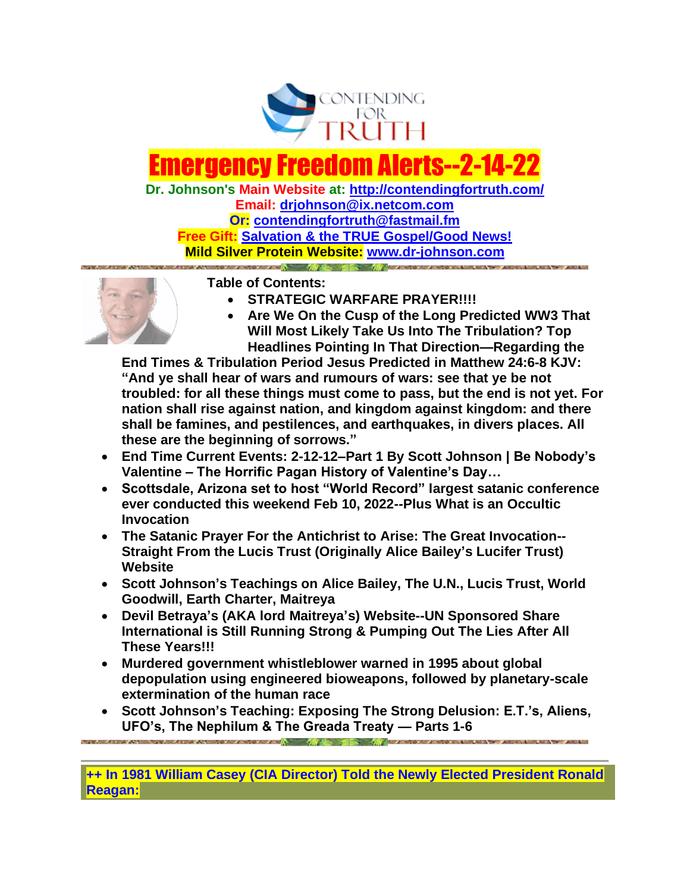

# lergency F

**Dr. Johnson's Main Website at:<http://contendingfortruth.com/> Email: [drjohnson@ix.netcom.com](mailto:drjohnson@ix.netcom.com) Or: [contendingfortruth@fastmail.fm](mailto:contendingfortruth@fastmail.fm) Free Gift: [Salvation & the TRUE Gospel/Good News!](http://www.contendingfortruth.com/true-salvation/) Mild Silver Protein Website: [www.dr-johnson.com](http://www.dr-johnson.com/)**



**Table of Contents:** 

- **STRATEGIC WARFARE PRAYER!!!!**
- **Are We On the Cusp of the Long Predicted WW3 That Will Most Likely Take Us Into The Tribulation? Top Headlines Pointing In That Direction—Regarding the**

**End Times & Tribulation Period Jesus Predicted in Matthew 24:6-8 KJV: "And ye shall hear of wars and rumours of wars: see that ye be not troubled: for all these things must come to pass, but the end is not yet. For nation shall rise against nation, and kingdom against kingdom: and there shall be famines, and pestilences, and earthquakes, in divers places. All these are the beginning of sorrows."**

- **End Time Current Events: 2-12-12–Part 1 By Scott Johnson | Be Nobody's Valentine – The Horrific Pagan History of Valentine's Day…**
- **Scottsdale, Arizona set to host "World Record" largest satanic conference ever conducted this weekend Feb 10, 2022--Plus What is an Occultic Invocation**
- **The Satanic Prayer For the Antichrist to Arise: The Great Invocation-- Straight From the Lucis Trust (Originally Alice Bailey's Lucifer Trust) Website**
- **Scott Johnson's Teachings on Alice Bailey, The U.N., Lucis Trust, World Goodwill, Earth Charter, Maitreya**
- **Devil Betraya's (AKA lord Maitreya's) Website--UN Sponsored Share International is Still Running Strong & Pumping Out The Lies After All These Years!!!**
- **Murdered government whistleblower warned in 1995 about global depopulation using engineered bioweapons, followed by planetary-scale extermination of the human race**
- **Scott Johnson's Teaching: Exposing The Strong Delusion: E.T.'s, Aliens, UFO's, The Nephilum & The Greada Treaty — Parts 1-6**

**++ In 1981 William Casey (CIA Director) Told the Newly Elected President Ronald Reagan:**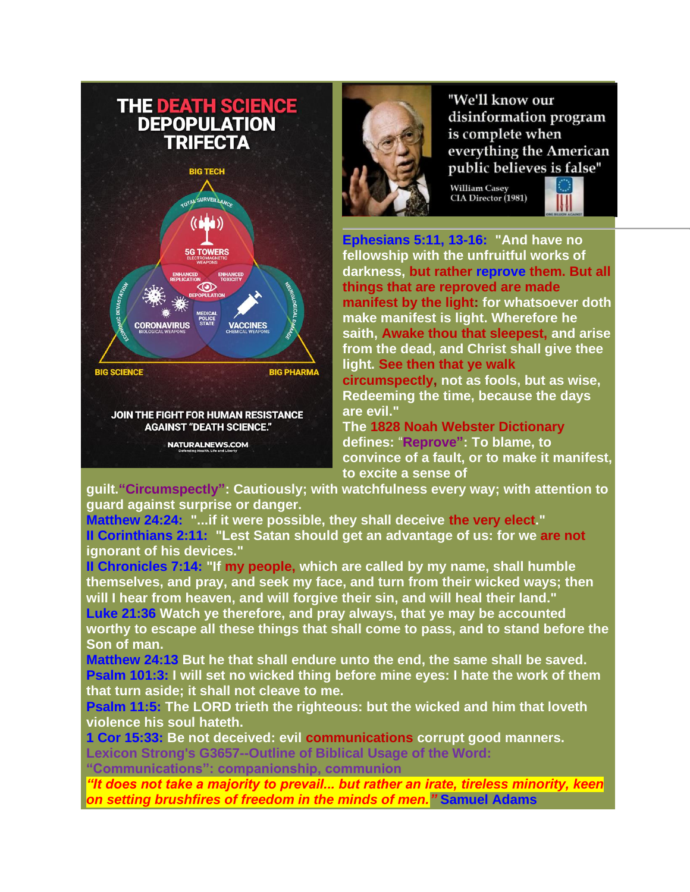# **THE DEATH SCIENCE DEPOPULATION TRIFECTA BIG TECH SURVEILLAAL**  $((\blacksquare \blacksquare \blacksquare))$ **G TOWERS**  $\circledR$ **CORONAVIRUS VACCINES BIG SCIENCE BIG PHARMA** JOIN THE FIGHT FOR HUMAN RESISTANCE **AGAINST "DEATH SCIENCE."** NATURALNEWS.COM



"We'll know our disinformation program is complete when everything the American public believes is false"

William Casey<br>CIA Director (1981)



**Ephesians 5:11, 13-16: "And have no fellowship with the unfruitful works of darkness, but rather reprove them. But all things that are reproved are made manifest by the light: for whatsoever doth make manifest is light. Wherefore he saith, Awake thou that sleepest, and arise from the dead, and Christ shall give thee light. See then that ye walk circumspectly, not as fools, but as wise,** 

**Redeeming the time, because the days are evil."** 

**The 1828 Noah Webster Dictionary defines:** "**Reprove": To blame, to convince of a fault, or to make it manifest, to excite a sense of** 

**guilt."Circumspectly": Cautiously; with watchfulness every way; with attention to guard against surprise or danger.**

**Matthew 24:24: "...if it were possible, they shall deceive the very elect." II Corinthians 2:11: "Lest Satan should get an advantage of us: for we are not ignorant of his devices."** 

**II Chronicles 7:14: "If my people, which are called by my name, shall humble themselves, and pray, and seek my face, and turn from their wicked ways; then will I hear from heaven, and will forgive their sin, and will heal their land."**

**Luke 21:36 Watch ye therefore, and pray always, that ye may be accounted worthy to escape all these things that shall come to pass, and to stand before the Son of man.**

**Matthew 24:13 But he that shall endure unto the end, the same shall be saved. Psalm 101:3: I will set no wicked thing before mine eyes: I hate the work of them that turn aside; it shall not cleave to me.**

**Psalm 11:5: The LORD trieth the righteous: but the wicked and him that loveth violence his soul hateth.**

**1 Cor 15:33: Be not deceived: evil communications corrupt good manners. Lexicon Strong's G3657--Outline of Biblical Usage of the Word:** 

**"Communications": companionship, communion**

*"It does not take a majority to prevail... but rather an irate, tireless minority, keen on setting brushfires of freedom in the minds of men."* **Samuel Adams**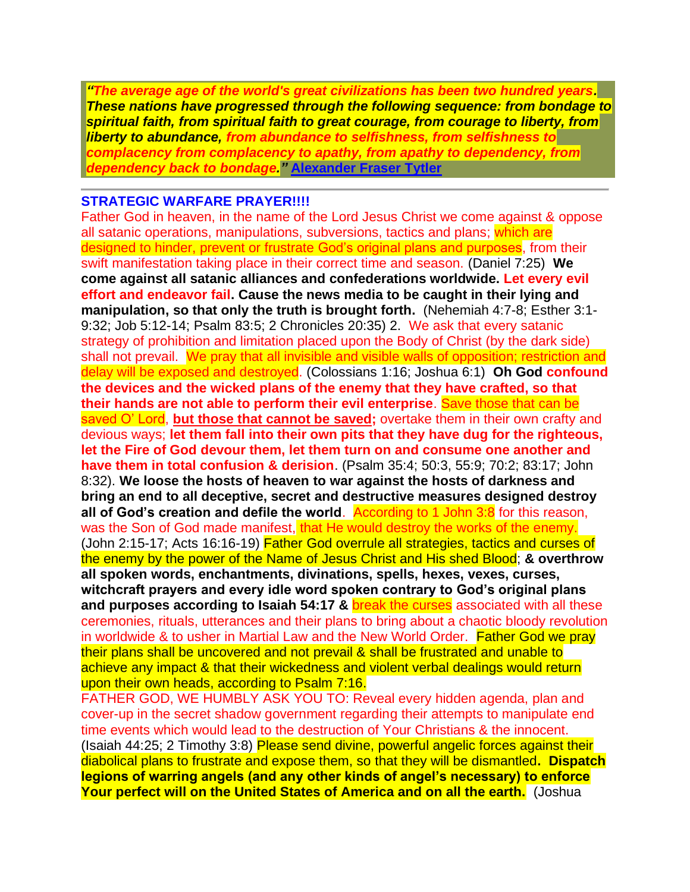*"The average age of the world's great civilizations has been two hundred years. These nations have progressed through the following sequence: from bondage to spiritual faith, from spiritual faith to great courage, from courage to liberty, from liberty to abundance, from abundance to selfishness, from selfishness to complacency from complacency to apathy, from apathy to dependency, from dependency back to bondage."* **[Alexander Fraser Tytler](https://www.azquotes.com/author/20531-Alexander_Fraser_Tytler)**

#### **STRATEGIC WARFARE PRAYER!!!!**

Father God in heaven, in the name of the Lord Jesus Christ we come against & oppose all satanic operations, manipulations, subversions, tactics and plans; which are designed to hinder, prevent or frustrate God's original plans and purposes, from their swift manifestation taking place in their correct time and season. (Daniel 7:25) **We come against all satanic alliances and confederations worldwide. Let every evil effort and endeavor fail. Cause the news media to be caught in their lying and manipulation, so that only the truth is brought forth.** (Nehemiah 4:7-8; Esther 3:1- 9:32; Job 5:12-14; Psalm 83:5; 2 Chronicles 20:35) 2. We ask that every satanic strategy of prohibition and limitation placed upon the Body of Christ (by the dark side) shall not prevail. We pray that all invisible and visible walls of opposition; restriction and delay will be exposed and destroyed. (Colossians 1:16; Joshua 6:1) **Oh God confound the devices and the wicked plans of the enemy that they have crafted, so that their hands are not able to perform their evil enterprise**. Save those that can be saved O' Lord, **but those that cannot be saved;** overtake them in their own crafty and devious ways; **let them fall into their own pits that they have dug for the righteous, let the Fire of God devour them, let them turn on and consume one another and have them in total confusion & derision**. (Psalm 35:4; 50:3, 55:9; 70:2; 83:17; John 8:32). **We loose the hosts of heaven to war against the hosts of darkness and bring an end to all deceptive, secret and destructive measures designed destroy all of God's creation and defile the world.** According to 1 John 3:8 for this reason, was the Son of God made manifest, that He would destroy the works of the enemy. (John 2:15-17; Acts 16:16-19) Father God overrule all strategies, tactics and curses of the enemy by the power of the Name of Jesus Christ and His shed Blood; **& overthrow all spoken words, enchantments, divinations, spells, hexes, vexes, curses, witchcraft prayers and every idle word spoken contrary to God's original plans and purposes according to Isaiah 54:17 &** break the curses associated with all these ceremonies, rituals, utterances and their plans to bring about a chaotic bloody revolution in worldwide & to usher in Martial Law and the New World Order. Father God we pray their plans shall be uncovered and not prevail & shall be frustrated and unable to achieve any impact & that their wickedness and violent verbal dealings would return upon their own heads, according to Psalm 7:16.

FATHER GOD, WE HUMBLY ASK YOU TO: Reveal every hidden agenda, plan and cover-up in the secret shadow government regarding their attempts to manipulate end time events which would lead to the destruction of Your Christians & the innocent. (Isaiah 44:25; 2 Timothy 3:8) Please send divine, powerful angelic forces against their diabolical plans to frustrate and expose them, so that they will be dismantled**. Dispatch legions of warring angels (and any other kinds of angel's necessary) to enforce**  Your perfect will on the United States of America and on all the earth. (Joshua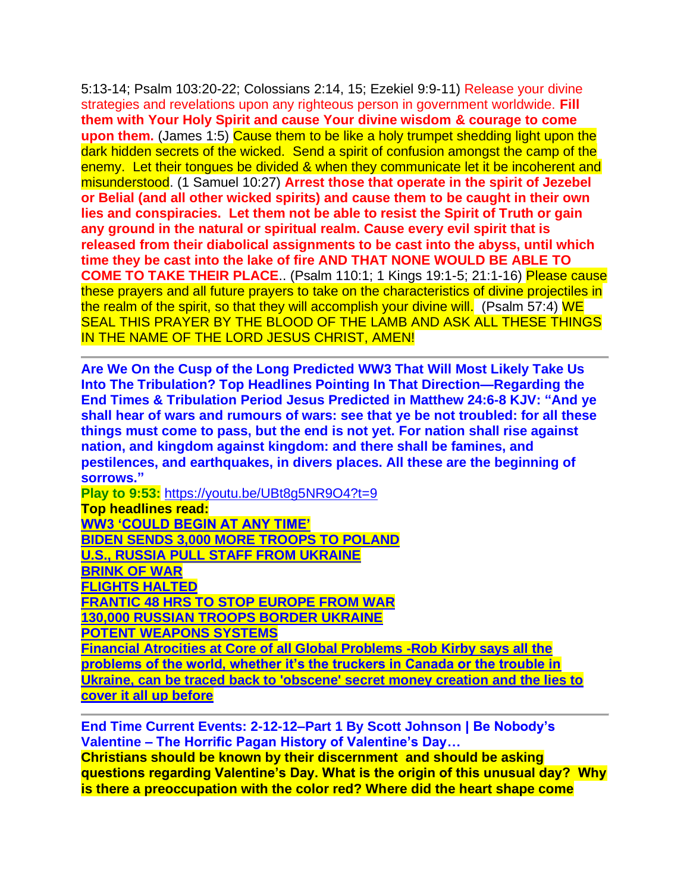5:13-14; Psalm 103:20-22; Colossians 2:14, 15; Ezekiel 9:9-11) Release your divine strategies and revelations upon any righteous person in government worldwide. **Fill them with Your Holy Spirit and cause Your divine wisdom & courage to come upon them.** (James 1:5) Cause them to be like a holy trumpet shedding light upon the dark hidden secrets of the wicked. Send a spirit of confusion amongst the camp of the enemy. Let their tongues be divided & when they communicate let it be incoherent and misunderstood. (1 Samuel 10:27) **Arrest those that operate in the spirit of Jezebel or Belial (and all other wicked spirits) and cause them to be caught in their own lies and conspiracies. Let them not be able to resist the Spirit of Truth or gain any ground in the natural or spiritual realm. Cause every evil spirit that is released from their diabolical assignments to be cast into the abyss, until which time they be cast into the lake of fire AND THAT NONE WOULD BE ABLE TO COME TO TAKE THEIR PLACE**.. (Psalm 110:1; 1 Kings 19:1-5; 21:1-16) Please cause these prayers and all future prayers to take on the characteristics of divine projectiles in the realm of the spirit, so that they will accomplish your divine will. (Psalm 57:4) WE SEAL THIS PRAYER BY THE BLOOD OF THE LAMB AND ASK ALL THESE THINGS IN THE NAME OF THE LORD JESUS CHRIST, AMEN!

**Are We On the Cusp of the Long Predicted WW3 That Will Most Likely Take Us Into The Tribulation? Top Headlines Pointing In That Direction—Regarding the End Times & Tribulation Period Jesus Predicted in Matthew 24:6-8 KJV: "And ye shall hear of wars and rumours of wars: see that ye be not troubled: for all these things must come to pass, but the end is not yet. For nation shall rise against nation, and kingdom against kingdom: and there shall be famines, and pestilences, and earthquakes, in divers places. All these are the beginning of sorrows."**

**Play to 9:53:** <https://youtu.be/UBt8g5NR9O4?t=9>

**Top headlines read: WW3 'COULD [BEGIN AT ANY TIME'](https://www.foxnews.com/live-news/russia-ukraine-biden) [BIDEN SENDS 3,000 MORE TROOPS TO POLAND](https://apnews.com/article/russia-ukraine-joe-biden-jake-sullivan-europe-poland-0dc69d2142d344a2311dc3b54107d1e7) [U.S., RUSSIA PULL STAFF FROM UKRAINE](https://www.wsj.com/articles/biden-to-talk-with-putin-as-u-s-warns-of-russian-invasion-of-ukraine-11644659540) [BRINK OF](https://populistpress.com/brink-of-war/) WAR [FLIGHTS HALTED](https://populistpress.com/flights-halted/) [FRANTIC 48 HRS TO STOP EUROPE FROM WAR](https://www.dailymail.co.uk/news/article-10508915/Boris-Johnson-plans-whistle-stop-tour-Europe-hold-talks-world-leaders.html) [130,000 RUSSIAN TROOPS BORDER UKRAINE](https://apnews.com/article/russia-ukraine-joe-biden-russia-europe-moscow-dce9b30db290a6e82f5aaa0f35a3125a) [POTENT WEAPONS SYSTEMS](https://www.wsj.com/articles/russian-buildup-near-ukraine-features-potent-weapons-systems-well-trained-troops-11644789065) [Financial Atrocities at Core of all Global Problems -Rob Kirby says all the](https://usawatchdog.com/financial-atrocities-at-core-of-all-global-problems-rob-kirby/)** 

**[problems of the world, whether it's the truckers in Canada or the trouble in](https://usawatchdog.com/financial-atrocities-at-core-of-all-global-problems-rob-kirby/)  [Ukraine, can be traced back to 'obscene' secret money creation and the lies to](https://usawatchdog.com/financial-atrocities-at-core-of-all-global-problems-rob-kirby/)  [cover it all up before](https://usawatchdog.com/financial-atrocities-at-core-of-all-global-problems-rob-kirby/)**

**End Time Current Events: 2-12-12–Part 1 By Scott Johnson | Be Nobody's Valentine – The Horrific Pagan History of Valentine's Day… Christians should be known by their discernment and should be asking** 

**questions regarding Valentine's Day. What is the origin of this unusual day? Why is there a preoccupation with the color red? Where did the heart shape come**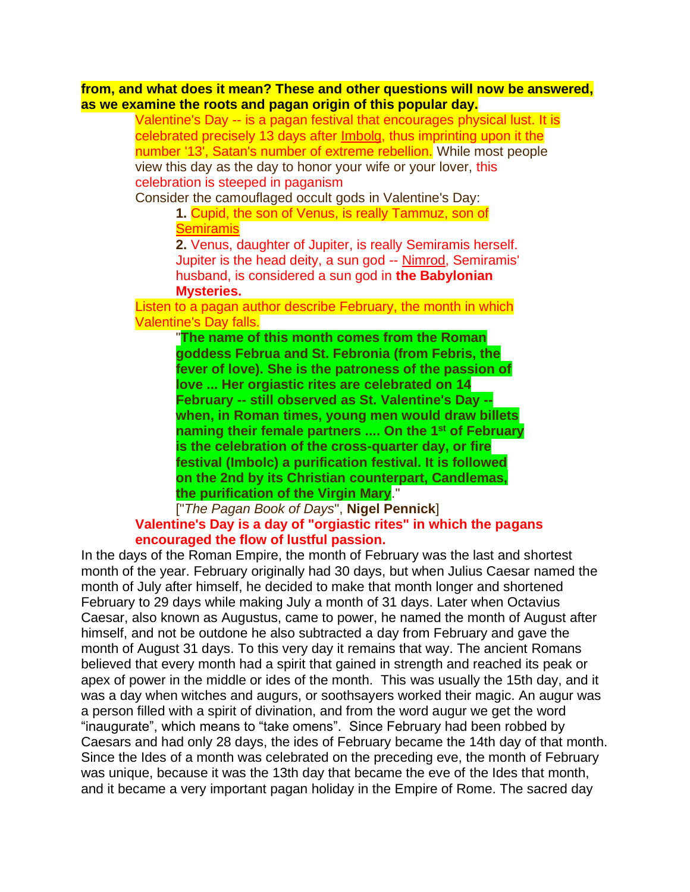**from, and what does it mean? These and other questions will now be answered, as we examine the roots and pagan origin of this popular day.**

> Valentine's Day -- is a pagan festival that encourages physical lust. It is celebrated precisely 13 days after Imbolg, thus imprinting upon it the number '13', Satan's number of extreme rebellion. While most people view this day as the day to honor your wife or your lover, this celebration is steeped in paganism

Consider the camouflaged occult gods in Valentine's Day:

**1.** Cupid, the son of Venus, is really Tammuz, son of **Semiramis** 

**2.** Venus, daughter of Jupiter, is really Semiramis herself. Jupiter is the head deity, a sun god -- Nimrod, Semiramis' husband, is considered a sun god in **the Babylonian Mysteries.**

Listen to a pagan author describe February, the month in which Valentine's Day falls.

> "**The name of this month comes from the Roman goddess Februa and St. Febronia (from Febris, the fever of love). She is the patroness of the passion of love ... Her orgiastic rites are celebrated on 14 February -- still observed as St. Valentine's Day - when, in Roman times, young men would draw billets naming their female partners .... On the 1 st of February is the celebration of the cross-quarter day, or fire festival (Imbolc) a purification festival. It is followed on the 2nd by its Christian counterpart, Candlemas, the purification of the Virgin Mary**."

["*The Pagan Book of Days*", **Nigel Pennick**] **Valentine's Day is a day of "orgiastic rites" in which the pagans encouraged the flow of lustful passion.**

In the days of the Roman Empire, the month of February was the last and shortest month of the year. February originally had 30 days, but when Julius Caesar named the month of July after himself, he decided to make that month longer and shortened February to 29 days while making July a month of 31 days. Later when Octavius Caesar, also known as Augustus, came to power, he named the month of August after himself, and not be outdone he also subtracted a day from February and gave the month of August 31 days. To this very day it remains that way. The ancient Romans believed that every month had a spirit that gained in strength and reached its peak or apex of power in the middle or ides of the month. This was usually the 15th day, and it was a day when witches and augurs, or soothsayers worked their magic. An augur was a person filled with a spirit of divination, and from the word augur we get the word "inaugurate", which means to "take omens". Since February had been robbed by Caesars and had only 28 days, the ides of February became the 14th day of that month. Since the Ides of a month was celebrated on the preceding eve, the month of February was unique, because it was the 13th day that became the eve of the Ides that month, and it became a very important pagan holiday in the Empire of Rome. The sacred day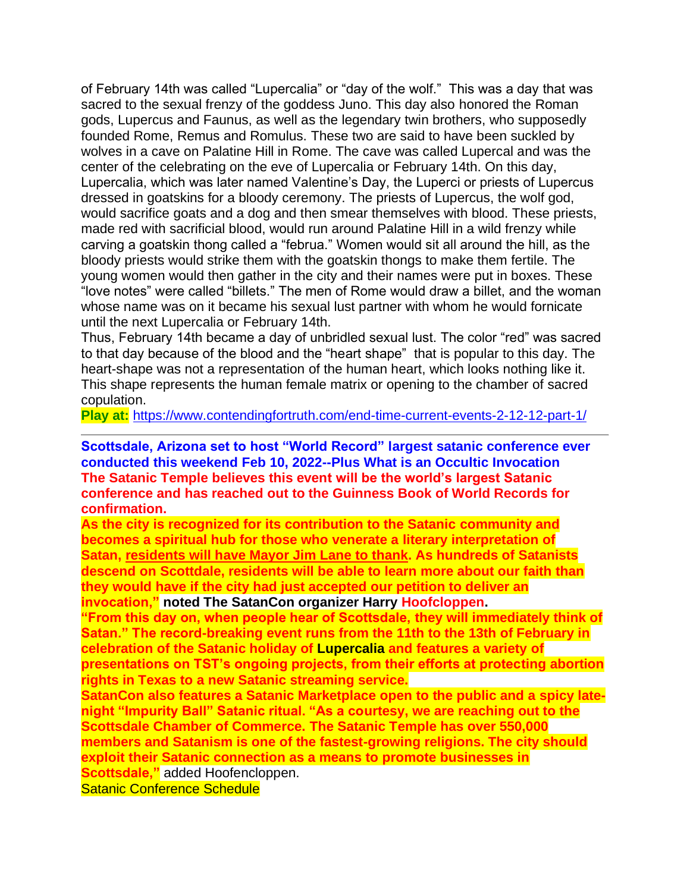of February 14th was called "Lupercalia" or "day of the wolf." This was a day that was sacred to the sexual frenzy of the goddess Juno. This day also honored the Roman gods, Lupercus and Faunus, as well as the legendary twin brothers, who supposedly founded Rome, Remus and Romulus. These two are said to have been suckled by wolves in a cave on Palatine Hill in Rome. The cave was called Lupercal and was the center of the celebrating on the eve of Lupercalia or February 14th. On this day, Lupercalia, which was later named Valentine's Day, the Luperci or priests of Lupercus dressed in goatskins for a bloody ceremony. The priests of Lupercus, the wolf god, would sacrifice goats and a dog and then smear themselves with blood. These priests, made red with sacrificial blood, would run around Palatine Hill in a wild frenzy while carving a goatskin thong called a "februa." Women would sit all around the hill, as the bloody priests would strike them with the goatskin thongs to make them fertile. The young women would then gather in the city and their names were put in boxes. These "love notes" were called "billets." The men of Rome would draw a billet, and the woman whose name was on it became his sexual lust partner with whom he would fornicate until the next Lupercalia or February 14th.

Thus, February 14th became a day of unbridled sexual lust. The color "red" was sacred to that day because of the blood and the "heart shape" that is popular to this day. The heart-shape was not a representation of the human heart, which looks nothing like it. This shape represents the human female matrix or opening to the chamber of sacred copulation.

**Play at:** <https://www.contendingfortruth.com/end-time-current-events-2-12-12-part-1/>

#### **Scottsdale, Arizona set to host "World Record" largest satanic conference ever conducted this weekend Feb 10, 2022--Plus What is an Occultic Invocation The Satanic Temple believes this event will be the world's largest Satanic conference and has reached out to the Guinness Book of World Records for confirmation.**

**As the city is recognized for its contribution to the Satanic community and becomes a spiritual hub for those who venerate a literary interpretation of Satan, [residents will have Mayor Jim Lane to thank.](https://www.prnewswire.com/news-releases/scottsdale-az-poised-to-set-world-record-for-largest-satanic-conference-301473850.html) As hundreds of Satanists descend on Scottdale, residents will be able to learn more about our faith than they would have if the city had just accepted our petition to deliver an invocation," noted The SatanCon organizer Harry Hoofcloppen.**

**"From this day on, when people hear of Scottsdale, they will immediately think of Satan." The record-breaking event runs from the 11th to the 13th of February in celebration of the Satanic holiday of Lupercalia and features a variety of presentations on TST's ongoing projects, from their efforts at protecting abortion rights in Texas to a new Satanic streaming service.**

**SatanCon also features a Satanic Marketplace open to the public and a spicy latenight "Impurity Ball" Satanic ritual. "As a courtesy, we are reaching out to the Scottsdale Chamber of Commerce. The Satanic Temple has over 550,000 members and Satanism is one of the fastest-growing religions. The city should exploit their Satanic connection as a means to promote businesses in Scottsdale,"** added Hoofencloppen.

Satanic Conference Schedule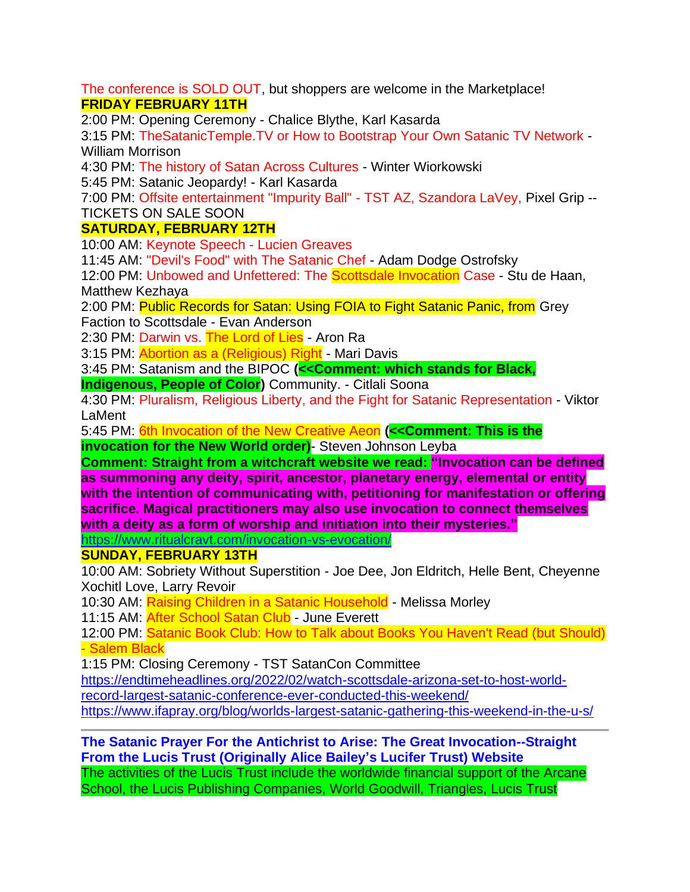The conference is SOLD OUT, but shoppers are welcome in the Marketplace! **FRIDAY FEBRUARY 11TH**

2:00 PM: Opening Ceremony - Chalice Blythe, Karl Kasarda

3:15 PM: TheSatanicTemple.TV or How to Bootstrap Your Own Satanic TV Network - William Morrison

4:30 PM: The history of Satan Across Cultures - Winter Wiorkowski

5:45 PM: Satanic Jeopardy! - Karl Kasarda

7:00 PM: Offsite entertainment "Impurity Ball" - TST AZ, Szandora LaVey, Pixel Grip -- TICKETS ON SALE SOON

# **SATURDAY, FEBRUARY 12TH**

10:00 AM: Keynote Speech - Lucien Greaves

11:45 AM: "Devil's Food" with The Satanic Chef - Adam Dodge Ostrofsky

12:00 PM: Unbowed and Unfettered: The **Scottsdale Invocation** Case - Stu de Haan, Matthew Kezhaya

2:00 PM: Public Records for Satan: Using FOIA to Fight Satanic Panic, from Grey Faction to Scottsdale - Evan Anderson

2:30 PM: Darwin vs. The Lord of Lies - Aron Ra

3:15 PM: Abortion as a (Religious) Right - Mari Davis

3:45 PM: Satanism and the BIPOC **(<<Comment: which stands for Black,** 

**Indigenous, People of Color**) Community. - Citlali Soona

4:30 PM: Pluralism, Religious Liberty, and the Fight for Satanic Representation - Viktor LaMent

5:45 PM: 6th Invocation of the New Creative Aeon **(<<Comment: This is the invocation for the New World order)**- Steven Johnson Leyba

**Comment: Straight from a witchcraft website we read: "Invocation can be defined as summoning any deity, spirit, ancestor, planetary energy, elemental or entity with the intention of communicating with, petitioning for manifestation or offering sacrifice. Magical practitioners may also use invocation to connect themselves with a deity as a form of worship and initiation into their mysteries."**

<https://www.ritualcravt.com/invocation-vs-evocation/>

### **SUNDAY, FEBRUARY 13TH**

10:00 AM: Sobriety Without Superstition - Joe Dee, Jon Eldritch, Helle Bent, Cheyenne Xochitl Love, Larry Revoir

10:30 AM: Raising Children in a Satanic Household - Melissa Morley

11:15 AM: **After School Satan Club** - June Everett

12:00 PM: Satanic Book Club: How to Talk about Books You Haven't Read (but Should) - Salem Black

1:15 PM: Closing Ceremony - TST SatanCon Committee

[https://endtimeheadlines.org/2022/02/watch-scottsdale-arizona-set-to-host-world-](https://endtimeheadlines.org/2022/02/watch-scottsdale-arizona-set-to-host-world-record-largest-satanic-conference-ever-conducted-this-weekend/)

[record-largest-satanic-conference-ever-conducted-this-weekend/](https://endtimeheadlines.org/2022/02/watch-scottsdale-arizona-set-to-host-world-record-largest-satanic-conference-ever-conducted-this-weekend/)

<https://www.ifapray.org/blog/worlds-largest-satanic-gathering-this-weekend-in-the-u-s/>

# **The Satanic Prayer For the Antichrist to Arise: The Great Invocation--Straight From the Lucis Trust (Originally Alice Bailey's Lucifer Trust) Website**

The activities of the Lucis Trust include the worldwide financial support of the Arcane School, the Lucis Publishing Companies, World Goodwill, Triangles, Lucis Trust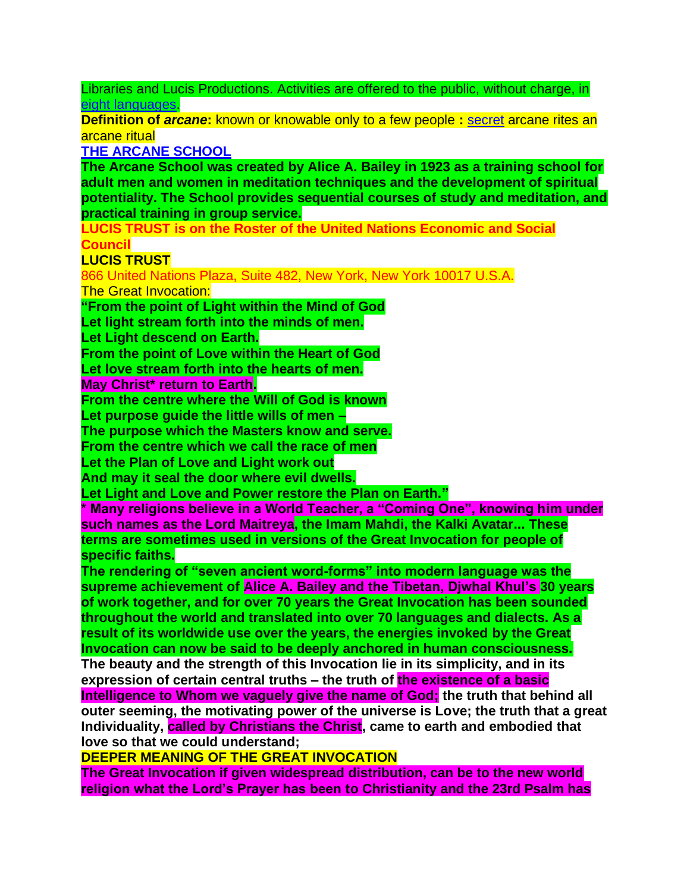Libraries and Lucis Productions. Activities are offered to the public, without charge, in [eight languages.](https://www.lucistrust.org/about_us/languages_1)

**Definition of** *arcane***:** known or knowable only to a few people **:** [secret](https://www.merriam-webster.com/dictionary/secret) arcane rites an arcane ritual

**[THE ARCANE SCHOOL](https://www.lucistrust.org/)**

**The Arcane School was created by Alice A. Bailey in 1923 as a training school for adult men and women in meditation techniques and the development of spiritual potentiality. The School provides sequential courses of study and meditation, and practical training in group service.**

**LUCIS TRUST is on the Roster of the United Nations Economic and Social Council**

# **LUCIS TRUST**

866 United Nations Plaza, Suite 482, New York, New York 10017 U.S.A. The Great Invocation:

**"From the point of Light within the Mind of God**

**Let light stream forth into the minds of men.**

**Let Light descend on Earth.**

**From the point of Love within the Heart of God**

**Let love stream forth into the hearts of men.**

**May Christ\* return to Earth.**

**From the centre where the Will of God is known**

**Let purpose guide the little wills of men –**

**The purpose which the Masters know and serve.**

**From the centre which we call the race of men**

**Let the Plan of Love and Light work out**

**And may it seal the door where evil dwells.**

**Let Light and Love and Power restore the Plan on Earth."**

**\* Many religions believe in a World Teacher, a "Coming One", knowing him under such names as the Lord Maitreya, the Imam Mahdi, the Kalki Avatar... These terms are sometimes used in versions of the Great Invocation for people of specific faiths.**

**The rendering of "seven ancient word-forms" into modern language was the supreme achievement of Alice A. Bailey and the Tibetan, Djwhal Khul's 30 years of work together, and for over 70 years the Great Invocation has been sounded throughout the world and translated into over 70 languages and dialects. As a result of its worldwide use over the years, the energies invoked by the Great Invocation can now be said to be deeply anchored in human consciousness. The beauty and the strength of this Invocation lie in its simplicity, and in its expression of certain central truths – the truth of the existence of a basic Intelligence to Whom we vaguely give the name of God; the truth that behind all outer seeming, the motivating power of the universe is Love; the truth that a great Individuality, called by Christians the Christ, came to earth and embodied that love so that we could understand;** 

**DEEPER MEANING OF THE GREAT INVOCATION**

**The Great Invocation if given widespread distribution, can be to the new world religion what the Lord's Prayer has been to Christianity and the 23rd Psalm has**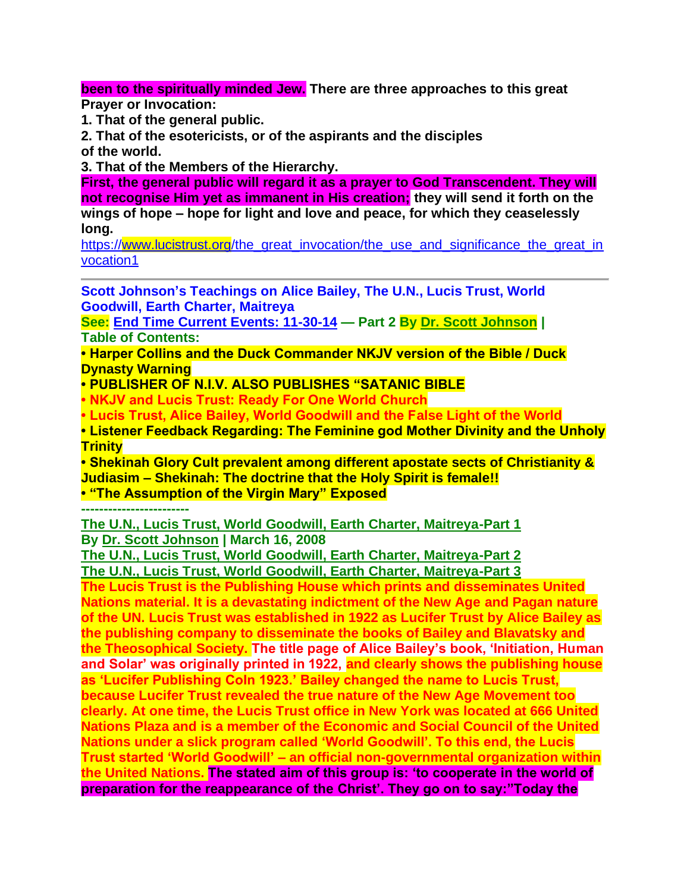**been to the spiritually minded Jew. There are three approaches to this great Prayer or Invocation:**

**1. That of the general public.**

**2. That of the esotericists, or of the aspirants and the disciples of the world.**

**3. That of the Members of the Hierarchy.**

**First, the general public will regard it as a prayer to God Transcendent. They will not recognise Him yet as immanent in His creation; they will send it forth on the wings of hope – hope for light and love and peace, for which they ceaselessly long.**

[https://www.lucistrust.org/the\\_great\\_invocation/the\\_use\\_and\\_significance\\_the\\_great\\_in](https://www.lucistrust.org/the_great_invocation/the_use_and_significance_the_great_invocation1) [vocation1](https://www.lucistrust.org/the_great_invocation/the_use_and_significance_the_great_invocation1)

**Scott Johnson's Teachings on Alice Bailey, The U.N., Lucis Trust, World Goodwill, Earth Charter, Maitreya**

**See: [End Time Current Events: 11-30-14](https://www.contendingfortruth.com/end-time-current-events-11-30-14-part-2/) — Part 2 By [Dr. Scott Johnson](https://www.contendingfortruth.com/author/dr-scott-johnson/) | Table of Contents:** 

**• Harper Collins and the Duck Commander NKJV version of the Bible / Duck Dynasty Warning**

**• PUBLISHER OF N.I.V. ALSO PUBLISHES "SATANIC BIBLE**

**• NKJV and Lucis Trust: Ready For One World Church**

**• Lucis Trust, Alice Bailey, World Goodwill and the False Light of the World**

**• Listener Feedback Regarding: The Feminine god Mother Divinity and the Unholy Trinity**

**• Shekinah Glory Cult prevalent among different apostate sects of Christianity & Judiasim – Shekinah: The doctrine that the Holy Spirit is female!!**

**• "The Assumption of the Virgin Mary" Exposed**

**------------------------**

**[The U.N., Lucis Trust, World Goodwill, Earth Charter, Maitreya-Part 1](https://www.contendingfortruth.com/the-u-n-lucis-trust-world-goodwill-earth-charter-maitreya/) By [Dr. Scott Johnson](https://www.contendingfortruth.com/author/dr-scott-johnson/) | March 16, 2008**

**[The U.N., Lucis Trust, World Goodwill, Earth Charter, Maitreya-Part 2](https://www.contendingfortruth.com/the-u-n-lucis-trust-world-goodwill-earth-charter-maitreya-part-2/) [The U.N., Lucis Trust, World Goodwill, Earth Charter, Maitreya-Part 3](https://www.contendingfortruth.com/the-u-n-lucis-trust-world-goodwill-earth-charter-maitreya-part-3/)**

**The Lucis Trust is the Publishing House which prints and disseminates United Nations material. It is a devastating indictment of the New Age and Pagan nature of the UN. Lucis Trust was established in 1922 as Lucifer Trust by Alice Bailey as the publishing company to disseminate the books of Bailey and Blavatsky and the Theosophical Society. The title page of Alice Bailey's book, 'Initiation, Human and Solar' was originally printed in 1922, and clearly shows the publishing house as 'Lucifer Publishing CoIn 1923.' Bailey changed the name to Lucis Trust, because Lucifer Trust revealed the true nature of the New Age Movement too clearly. At one time, the Lucis Trust office in New York was located at 666 United Nations Plaza and is a member of the Economic and Social Council of the United Nations under a slick program called 'World Goodwill'. To this end, the Lucis Trust started 'World Goodwill' – an official non-governmental organization within the United Nations. The stated aim of this group is: 'to cooperate in the world of preparation for the reappearance of the Christ'. They go on to say:"Today the**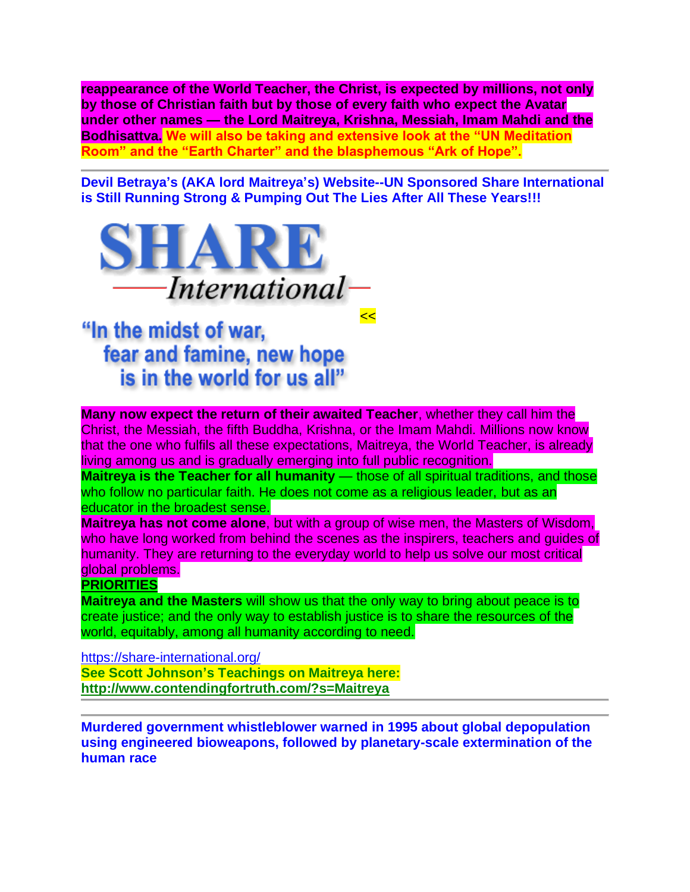**reappearance of the World Teacher, the Christ, is expected by millions, not only by those of Christian faith but by those of every faith who expect the Avatar under other names — the Lord Maitreya, Krishna, Messiah, Imam Mahdi and the Bodhisattva. We will also be taking and extensive look at the "UN Meditation Room" and the "Earth Charter" and the blasphemous "Ark of Hope".**

**Devil Betraya's (AKA lord Maitreya's) Website--UN Sponsored Share International is Still Running Strong & Pumping Out The Lies After All These Years!!!**

**<<** 



"In the midst of war, fear and famine, new hope is in the world for us all"

**Many now expect the return of their awaited Teacher**, whether they call him the Christ, the Messiah, the fifth Buddha, Krishna, or the Imam Mahdi. Millions now know that the one who fulfils all these expectations, Maitreya, the World Teacher, is already living among us and is gradually emerging into full public recognition.

**Maitreya is the Teacher for all humanity** — those of all spiritual traditions, and those who follow no particular faith. He does not come as a religious leader, but as an educator in the broadest sense.

**Maitreya has not come alone**, but with a group of wise men, the Masters of Wisdom, who have long worked from behind the scenes as the inspirers, teachers and guides of humanity. They are returning to the everyday world to help us solve our most critical global problems.

#### **PRIORITIES**

**Maitreya and the Masters** will show us that the only way to bring about peace is to create justice; and the only way to establish justice is to share the resources of the world, equitably, among all humanity according to need.

<https://share-international.org/> **See Scott Johnson's Teachings on Maitreya here: <http://www.contendingfortruth.com/?s=Maitreya>**

**Murdered government whistleblower warned in 1995 about global depopulation using engineered bioweapons, followed by planetary-scale extermination of the human race**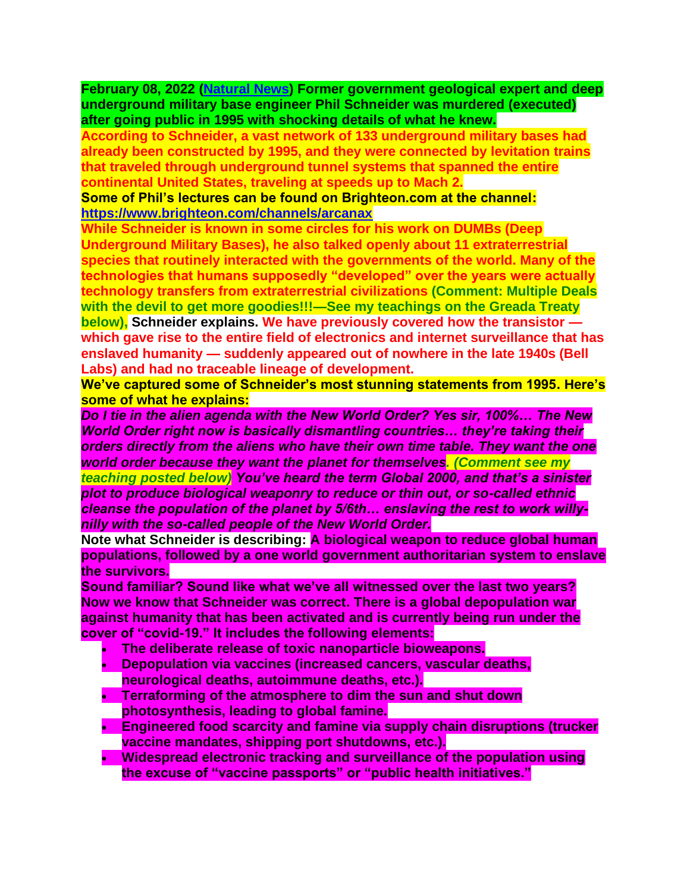**February 08, 2022 [\(Natural News\)](https://www.naturalnews.com/) Former government geological expert and deep underground military base engineer Phil Schneider was murdered (executed) after going public in 1995 with shocking details of what he knew.**

**According to Schneider, a vast network of 133 underground military bases had already been constructed by 1995, and they were connected by levitation trains that traveled through underground tunnel systems that spanned the entire continental United States, traveling at speeds up to Mach 2.**

**Some of Phil's lectures can be found on Brighteon.com at the channel: <https://www.brighteon.com/channels/arcanax>**

**While Schneider is known in some circles for his work on DUMBs (Deep Underground Military Bases), he also talked openly about 11 extraterrestrial species that routinely interacted with the governments of the world. Many of the technologies that humans supposedly "developed" over the years were actually technology transfers from extraterrestrial civilizations (Comment: Multiple Deals with the devil to get more goodies!!!—See my teachings on the Greada Treaty below), Schneider explains. We have previously covered how the transistor which gave rise to the entire field of electronics and internet surveillance that has enslaved humanity — suddenly appeared out of nowhere in the late 1940s (Bell Labs) and had no traceable lineage of development.**

**We've captured some of Schneider's most stunning statements from 1995. Here's some of what he explains:**

*Do I tie in the alien agenda with the New World Order? Yes sir, 100%… The New World Order right now is basically dismantling countries… they're taking their orders directly from the aliens who have their own time table. They want the one world order because they want the planet for themselves. (Comment see my teaching posted below) You've heard the term Global 2000, and that's a sinister plot to produce biological weaponry to reduce or thin out, or so-called ethnic cleanse the population of the planet by 5/6th… enslaving the rest to work willynilly with the so-called people of the New World Order.*

**Note what Schneider is describing: A biological weapon to reduce global human populations, followed by a one world government authoritarian system to enslave the survivors.**

**Sound familiar? Sound like what we've all witnessed over the last two years? Now we know that Schneider was correct. There is a global depopulation war against humanity that has been activated and is currently being run under the cover of "covid-19." It includes the following elements:**

- **The deliberate release of toxic nanoparticle bioweapons.**
- **Depopulation via vaccines (increased cancers, vascular deaths, neurological deaths, autoimmune deaths, etc.).**
- **Terraforming of the atmosphere to dim the sun and shut down photosynthesis, leading to global famine.**
- **Engineered food scarcity and famine via supply chain disruptions (trucker vaccine mandates, shipping port shutdowns, etc.).**
- **Widespread electronic tracking and surveillance of the population using the excuse of "vaccine passports" or "public health initiatives."**